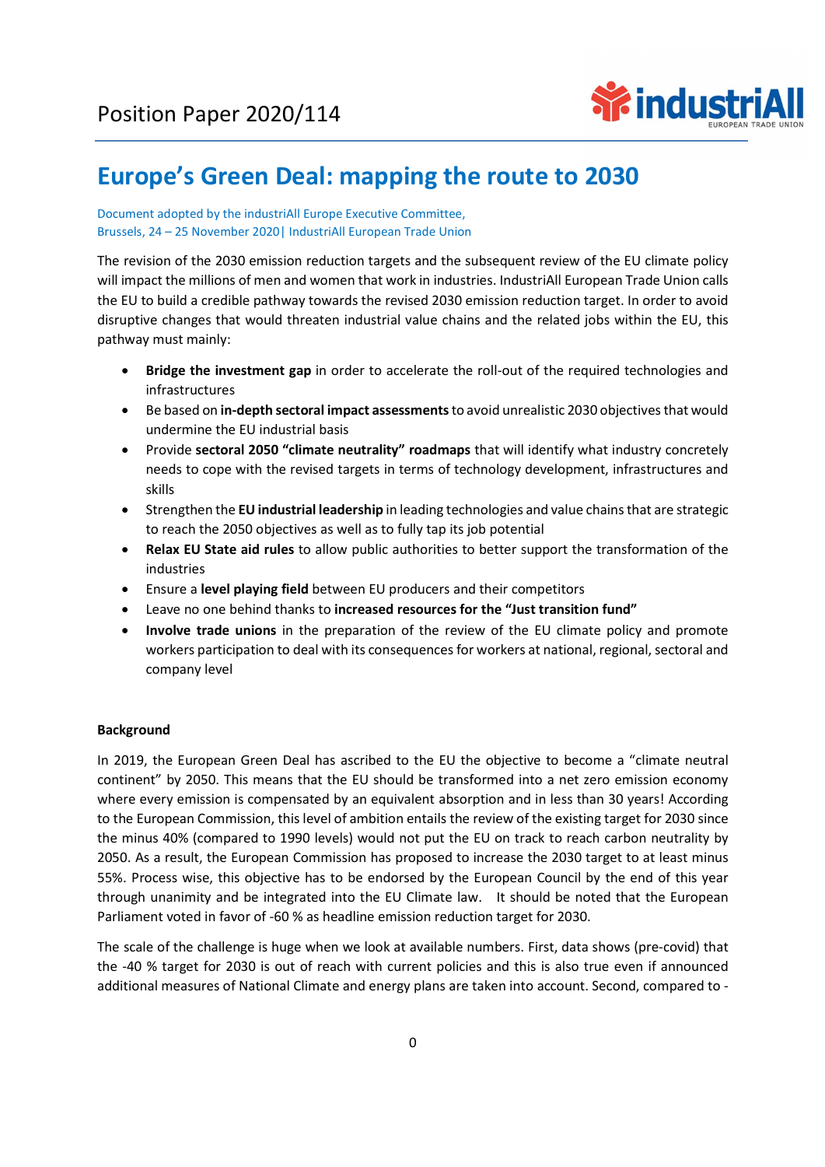

# Europe's Green Deal: mapping the route to 2030

#### Document adopted by the industriAll Europe Executive Committee, Brussels, 24 – 25 November 2020| IndustriAll European Trade Union

The revision of the 2030 emission reduction targets and the subsequent review of the EU climate policy will impact the millions of men and women that work in industries. IndustriAll European Trade Union calls the EU to build a credible pathway towards the revised 2030 emission reduction target. In order to avoid disruptive changes that would threaten industrial value chains and the related jobs within the EU, this pathway must mainly:

- Bridge the investment gap in order to accelerate the roll-out of the required technologies and infrastructures
- Be based on in-depth sectoral impact assessments to avoid unrealistic 2030 objectives that would undermine the EU industrial basis
- Provide sectoral 2050 "climate neutrality" roadmaps that will identify what industry concretely needs to cope with the revised targets in terms of technology development, infrastructures and skills
- Strengthen the EU industrial leadership in leading technologies and value chains that are strategic to reach the 2050 objectives as well as to fully tap its job potential
- Relax EU State aid rules to allow public authorities to better support the transformation of the industries
- Ensure a level playing field between EU producers and their competitors
- Leave no one behind thanks to increased resources for the "Just transition fund"
- Involve trade unions in the preparation of the review of the EU climate policy and promote workers participation to deal with its consequences for workers at national, regional, sectoral and company level

### Background

In 2019, the European Green Deal has ascribed to the EU the objective to become a "climate neutral continent" by 2050. This means that the EU should be transformed into a net zero emission economy where every emission is compensated by an equivalent absorption and in less than 30 years! According to the European Commission, this level of ambition entails the review of the existing target for 2030 since the minus 40% (compared to 1990 levels) would not put the EU on track to reach carbon neutrality by 2050. As a result, the European Commission has proposed to increase the 2030 target to at least minus 55%. Process wise, this objective has to be endorsed by the European Council by the end of this year through unanimity and be integrated into the EU Climate law. It should be noted that the European Parliament voted in favor of -60 % as headline emission reduction target for 2030.

The scale of the challenge is huge when we look at available numbers. First, data shows (pre-covid) that the -40 % target for 2030 is out of reach with current policies and this is also true even if announced additional measures of National Climate and energy plans are taken into account. Second, compared to -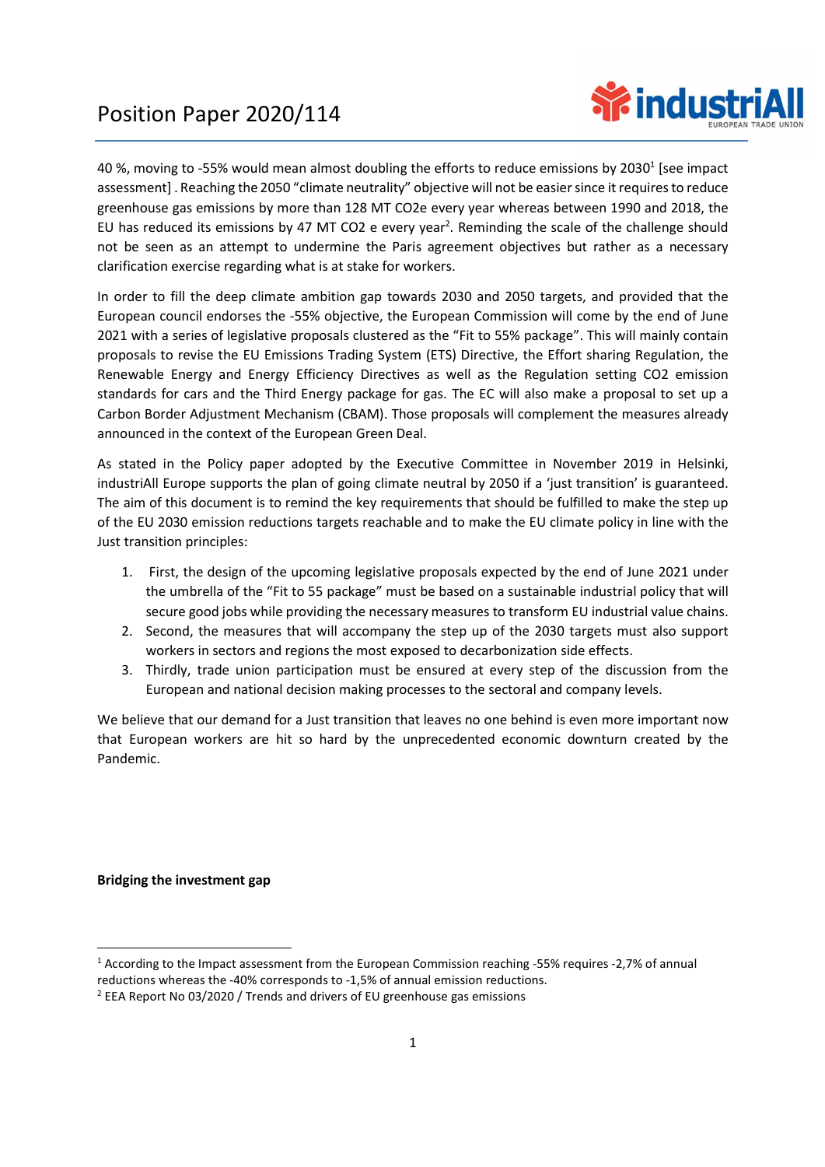

40 %, moving to -55% would mean almost doubling the efforts to reduce emissions by 2030<sup>1</sup> [see impact assessment] . Reaching the 2050 "climate neutrality" objective will not be easier since it requires to reduce greenhouse gas emissions by more than 128 MT CO2e every year whereas between 1990 and 2018, the EU has reduced its emissions by 47 MT CO2 e every year<sup>2</sup>. Reminding the scale of the challenge should not be seen as an attempt to undermine the Paris agreement objectives but rather as a necessary clarification exercise regarding what is at stake for workers.

In order to fill the deep climate ambition gap towards 2030 and 2050 targets, and provided that the European council endorses the -55% objective, the European Commission will come by the end of June 2021 with a series of legislative proposals clustered as the "Fit to 55% package". This will mainly contain proposals to revise the EU Emissions Trading System (ETS) Directive, the Effort sharing Regulation, the Renewable Energy and Energy Efficiency Directives as well as the Regulation setting CO2 emission standards for cars and the Third Energy package for gas. The EC will also make a proposal to set up a Carbon Border Adjustment Mechanism (CBAM). Those proposals will complement the measures already announced in the context of the European Green Deal.

As stated in the Policy paper adopted by the Executive Committee in November 2019 in Helsinki, industriAll Europe supports the plan of going climate neutral by 2050 if a 'just transition' is guaranteed. The aim of this document is to remind the key requirements that should be fulfilled to make the step up of the EU 2030 emission reductions targets reachable and to make the EU climate policy in line with the Just transition principles:

- 1. First, the design of the upcoming legislative proposals expected by the end of June 2021 under the umbrella of the "Fit to 55 package" must be based on a sustainable industrial policy that will secure good jobs while providing the necessary measures to transform EU industrial value chains.
- 2. Second, the measures that will accompany the step up of the 2030 targets must also support workers in sectors and regions the most exposed to decarbonization side effects.
- 3. Thirdly, trade union participation must be ensured at every step of the discussion from the European and national decision making processes to the sectoral and company levels.

We believe that our demand for a Just transition that leaves no one behind is even more important now that European workers are hit so hard by the unprecedented economic downturn created by the Pandemic.

### Bridging the investment gap

<sup>1</sup> According to the Impact assessment from the European Commission reaching -55% requires -2,7% of annual reductions whereas the -40% corresponds to -1,5% of annual emission reductions. 2

 $2$  EEA Report No 03/2020 / Trends and drivers of EU greenhouse gas emissions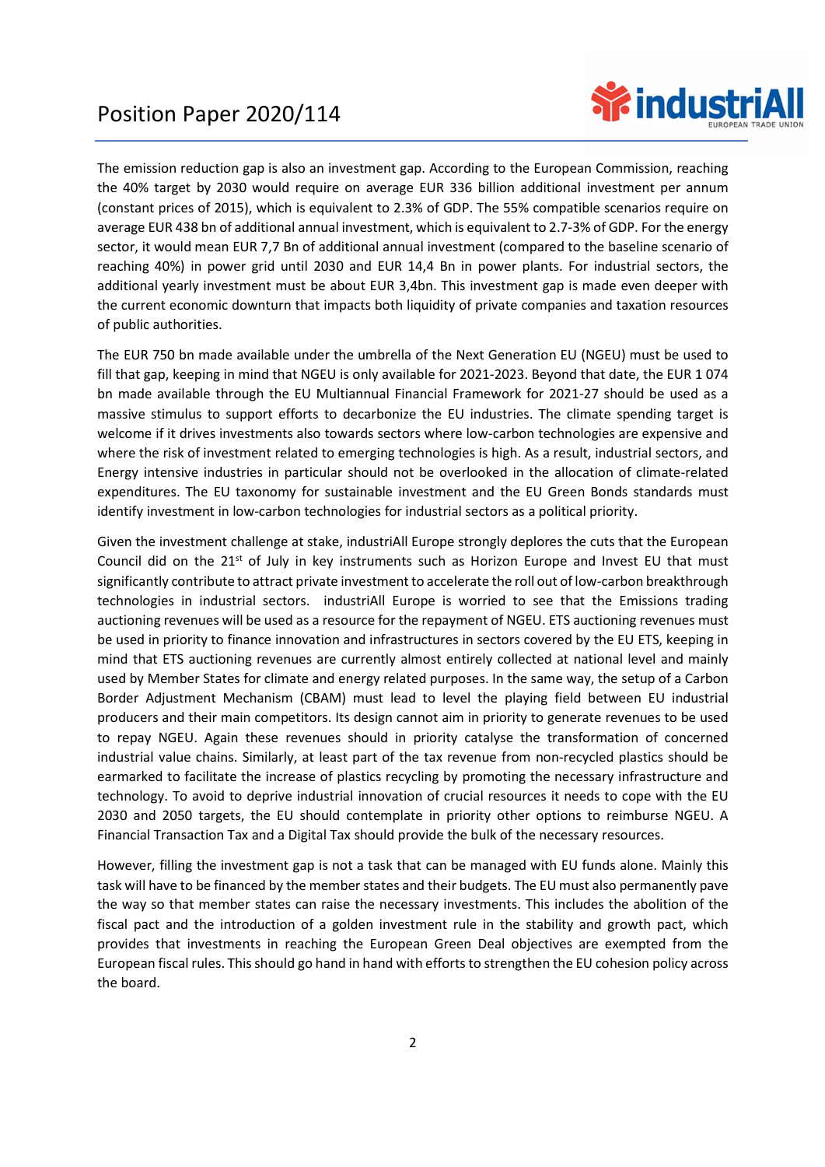

The emission reduction gap is also an investment gap. According to the European Commission, reaching the 40% target by 2030 would require on average EUR 336 billion additional investment per annum (constant prices of 2015), which is equivalent to 2.3% of GDP. The 55% compatible scenarios require on average EUR 438 bn of additional annual investment, which is equivalent to 2.7-3% of GDP. For the energy sector, it would mean EUR 7,7 Bn of additional annual investment (compared to the baseline scenario of reaching 40%) in power grid until 2030 and EUR 14,4 Bn in power plants. For industrial sectors, the additional yearly investment must be about EUR 3,4bn. This investment gap is made even deeper with the current economic downturn that impacts both liquidity of private companies and taxation resources of public authorities.

The EUR 750 bn made available under the umbrella of the Next Generation EU (NGEU) must be used to fill that gap, keeping in mind that NGEU is only available for 2021-2023. Beyond that date, the EUR 1 074 bn made available through the EU Multiannual Financial Framework for 2021-27 should be used as a massive stimulus to support efforts to decarbonize the EU industries. The climate spending target is welcome if it drives investments also towards sectors where low-carbon technologies are expensive and where the risk of investment related to emerging technologies is high. As a result, industrial sectors, and Energy intensive industries in particular should not be overlooked in the allocation of climate-related expenditures. The EU taxonomy for sustainable investment and the EU Green Bonds standards must identify investment in low-carbon technologies for industrial sectors as a political priority.

Given the investment challenge at stake, industriAll Europe strongly deplores the cuts that the European Council did on the 21<sup>st</sup> of July in key instruments such as Horizon Europe and Invest EU that must significantly contribute to attract private investment to accelerate the roll out of low-carbon breakthrough technologies in industrial sectors. industriAll Europe is worried to see that the Emissions trading auctioning revenues will be used as a resource for the repayment of NGEU. ETS auctioning revenues must be used in priority to finance innovation and infrastructures in sectors covered by the EU ETS, keeping in mind that ETS auctioning revenues are currently almost entirely collected at national level and mainly used by Member States for climate and energy related purposes. In the same way, the setup of a Carbon Border Adjustment Mechanism (CBAM) must lead to level the playing field between EU industrial producers and their main competitors. Its design cannot aim in priority to generate revenues to be used to repay NGEU. Again these revenues should in priority catalyse the transformation of concerned industrial value chains. Similarly, at least part of the tax revenue from non-recycled plastics should be earmarked to facilitate the increase of plastics recycling by promoting the necessary infrastructure and technology. To avoid to deprive industrial innovation of crucial resources it needs to cope with the EU 2030 and 2050 targets, the EU should contemplate in priority other options to reimburse NGEU. A Financial Transaction Tax and a Digital Tax should provide the bulk of the necessary resources.

However, filling the investment gap is not a task that can be managed with EU funds alone. Mainly this task will have to be financed by the member states and their budgets. The EU must also permanently pave the way so that member states can raise the necessary investments. This includes the abolition of the fiscal pact and the introduction of a golden investment rule in the stability and growth pact, which provides that investments in reaching the European Green Deal objectives are exempted from the European fiscal rules. This should go hand in hand with efforts to strengthen the EU cohesion policy across the board.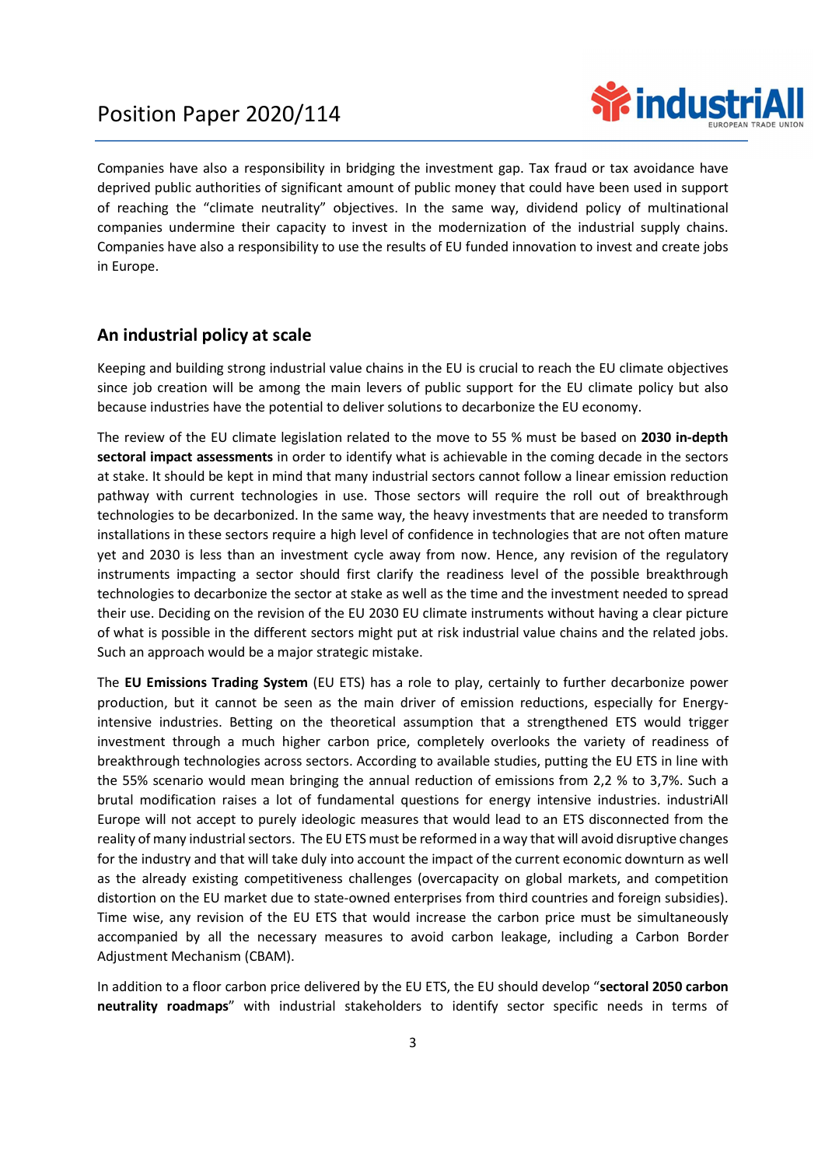

Companies have also a responsibility in bridging the investment gap. Tax fraud or tax avoidance have deprived public authorities of significant amount of public money that could have been used in support of reaching the "climate neutrality" objectives. In the same way, dividend policy of multinational companies undermine their capacity to invest in the modernization of the industrial supply chains. Companies have also a responsibility to use the results of EU funded innovation to invest and create jobs in Europe.

### An industrial policy at scale

Keeping and building strong industrial value chains in the EU is crucial to reach the EU climate objectives since job creation will be among the main levers of public support for the EU climate policy but also because industries have the potential to deliver solutions to decarbonize the EU economy.

The review of the EU climate legislation related to the move to 55 % must be based on 2030 in-depth sectoral impact assessments in order to identify what is achievable in the coming decade in the sectors at stake. It should be kept in mind that many industrial sectors cannot follow a linear emission reduction pathway with current technologies in use. Those sectors will require the roll out of breakthrough technologies to be decarbonized. In the same way, the heavy investments that are needed to transform installations in these sectors require a high level of confidence in technologies that are not often mature yet and 2030 is less than an investment cycle away from now. Hence, any revision of the regulatory instruments impacting a sector should first clarify the readiness level of the possible breakthrough technologies to decarbonize the sector at stake as well as the time and the investment needed to spread their use. Deciding on the revision of the EU 2030 EU climate instruments without having a clear picture of what is possible in the different sectors might put at risk industrial value chains and the related jobs. Such an approach would be a major strategic mistake.

The EU Emissions Trading System (EU ETS) has a role to play, certainly to further decarbonize power production, but it cannot be seen as the main driver of emission reductions, especially for Energyintensive industries. Betting on the theoretical assumption that a strengthened ETS would trigger investment through a much higher carbon price, completely overlooks the variety of readiness of breakthrough technologies across sectors. According to available studies, putting the EU ETS in line with the 55% scenario would mean bringing the annual reduction of emissions from 2,2 % to 3,7%. Such a brutal modification raises a lot of fundamental questions for energy intensive industries. industriAll Europe will not accept to purely ideologic measures that would lead to an ETS disconnected from the reality of many industrial sectors. The EU ETS must be reformed in a way that will avoid disruptive changes for the industry and that will take duly into account the impact of the current economic downturn as well as the already existing competitiveness challenges (overcapacity on global markets, and competition distortion on the EU market due to state-owned enterprises from third countries and foreign subsidies). Time wise, any revision of the EU ETS that would increase the carbon price must be simultaneously accompanied by all the necessary measures to avoid carbon leakage, including a Carbon Border Adjustment Mechanism (CBAM).

In addition to a floor carbon price delivered by the EU ETS, the EU should develop "sectoral 2050 carbon neutrality roadmaps" with industrial stakeholders to identify sector specific needs in terms of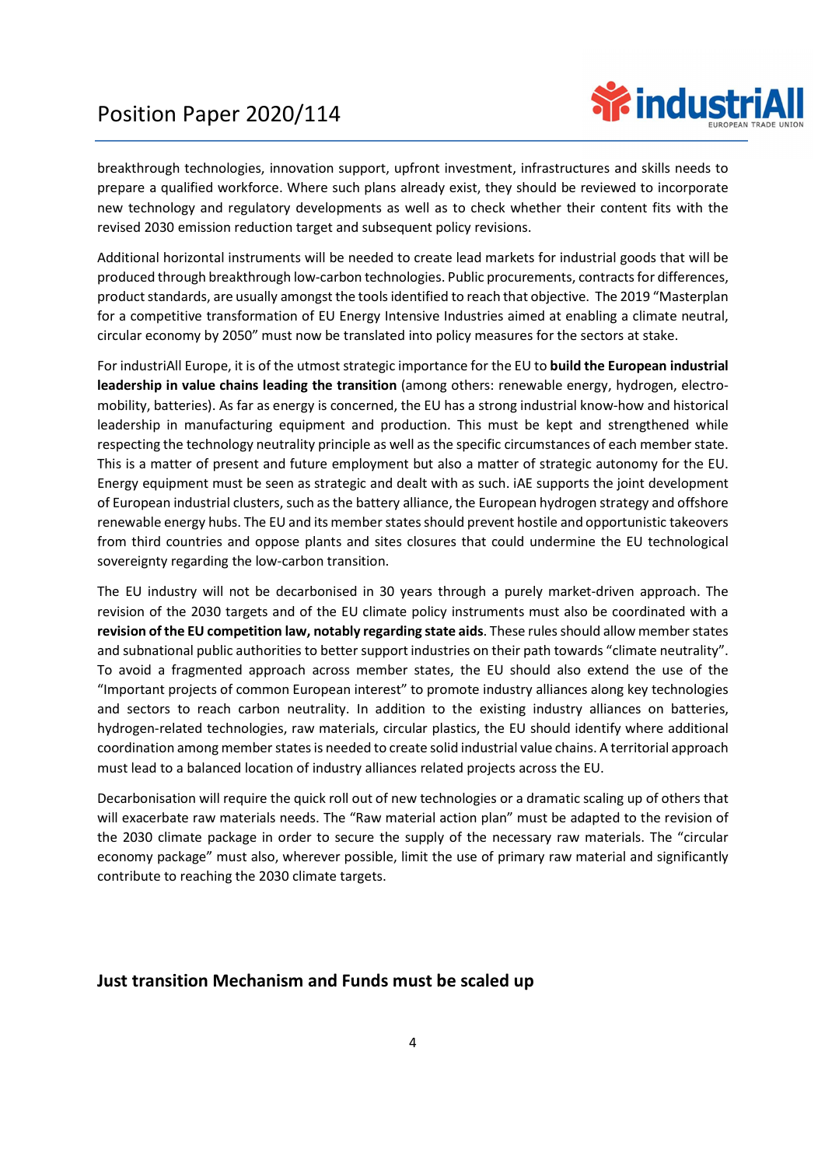

breakthrough technologies, innovation support, upfront investment, infrastructures and skills needs to prepare a qualified workforce. Where such plans already exist, they should be reviewed to incorporate new technology and regulatory developments as well as to check whether their content fits with the revised 2030 emission reduction target and subsequent policy revisions.

Additional horizontal instruments will be needed to create lead markets for industrial goods that will be produced through breakthrough low-carbon technologies. Public procurements, contracts for differences, product standards, are usually amongst the tools identified to reach that objective. The 2019 "Masterplan for a competitive transformation of EU Energy Intensive Industries aimed at enabling a climate neutral, circular economy by 2050" must now be translated into policy measures for the sectors at stake.

For industriAll Europe, it is of the utmost strategic importance for the EU to build the European industrial leadership in value chains leading the transition (among others: renewable energy, hydrogen, electromobility, batteries). As far as energy is concerned, the EU has a strong industrial know-how and historical leadership in manufacturing equipment and production. This must be kept and strengthened while respecting the technology neutrality principle as well as the specific circumstances of each member state. This is a matter of present and future employment but also a matter of strategic autonomy for the EU. Energy equipment must be seen as strategic and dealt with as such. iAE supports the joint development of European industrial clusters, such as the battery alliance, the European hydrogen strategy and offshore renewable energy hubs. The EU and its member states should prevent hostile and opportunistic takeovers from third countries and oppose plants and sites closures that could undermine the EU technological sovereignty regarding the low-carbon transition.

The EU industry will not be decarbonised in 30 years through a purely market-driven approach. The revision of the 2030 targets and of the EU climate policy instruments must also be coordinated with a revision of the EU competition law, notably regarding state aids. These rules should allow member states and subnational public authorities to better support industries on their path towards "climate neutrality". To avoid a fragmented approach across member states, the EU should also extend the use of the "Important projects of common European interest" to promote industry alliances along key technologies and sectors to reach carbon neutrality. In addition to the existing industry alliances on batteries, hydrogen-related technologies, raw materials, circular plastics, the EU should identify where additional coordination among member states is needed to create solid industrial value chains. A territorial approach must lead to a balanced location of industry alliances related projects across the EU.

Decarbonisation will require the quick roll out of new technologies or a dramatic scaling up of others that will exacerbate raw materials needs. The "Raw material action plan" must be adapted to the revision of the 2030 climate package in order to secure the supply of the necessary raw materials. The "circular economy package" must also, wherever possible, limit the use of primary raw material and significantly contribute to reaching the 2030 climate targets.

### Just transition Mechanism and Funds must be scaled up